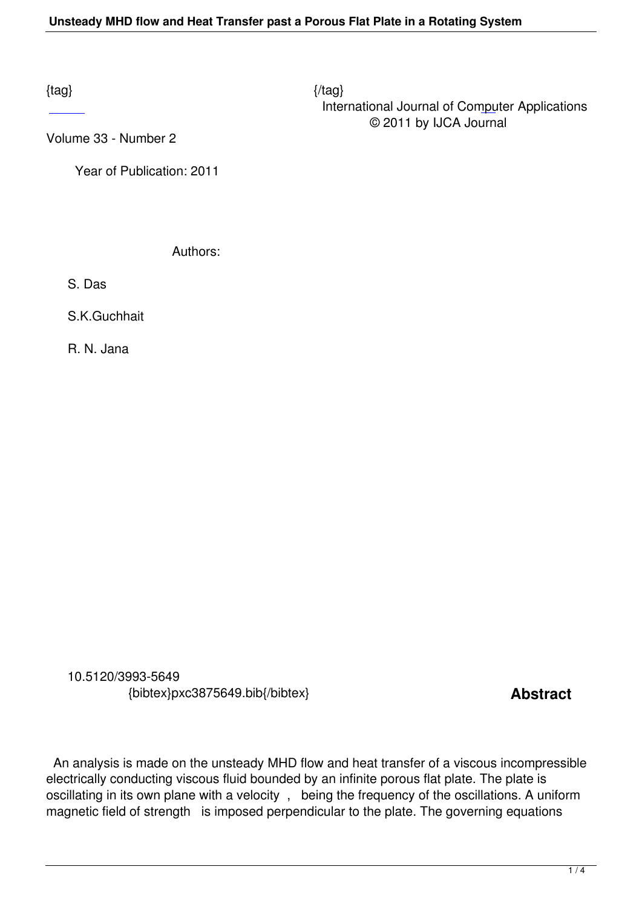$\{tag\}$  International Journal of Computer Applications © 2011 by IJCA Journal

Volume 33 - Number 2

 [Ye](http://research.ijcaonline.org/volume33/number2/pxc3875649.pdf)ar of Publication: 2011

Authors:

S. Das

S.K.Guchhait

R. N. Jana

 10.5120/3993-5649 {bibtex}pxc3875649.bib{/bibtex} **Abstract** 

 An analysis is made on the unsteady MHD flow and heat transfer of a viscous incompressible electrically conducting viscous fluid bounded by an infinite porous flat plate. The plate is oscillating in its own plane with a velocity , being the frequency of the oscillations. A uniform magnetic field of strength is imposed perpendicular to the plate. The governing equations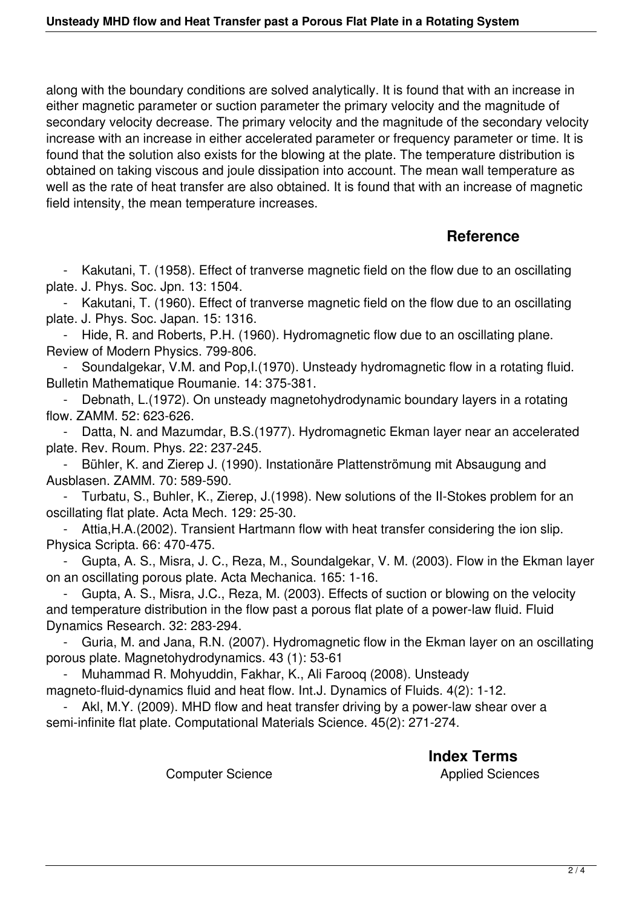along with the boundary conditions are solved analytically. It is found that with an increase in either magnetic parameter or suction parameter the primary velocity and the magnitude of secondary velocity decrease. The primary velocity and the magnitude of the secondary velocity increase with an increase in either accelerated parameter or frequency parameter or time. It is found that the solution also exists for the blowing at the plate. The temperature distribution is obtained on taking viscous and joule dissipation into account. The mean wall temperature as well as the rate of heat transfer are also obtained. It is found that with an increase of magnetic field intensity, the mean temperature increases.

## **Reference**

 - Kakutani, T. (1958). Effect of tranverse magnetic field on the flow due to an oscillating plate. J. Phys. Soc. Jpn. 13: 1504.

 - Kakutani, T. (1960). Effect of tranverse magnetic field on the flow due to an oscillating plate. J. Phys. Soc. Japan. 15: 1316.

 - Hide, R. and Roberts, P.H. (1960). Hydromagnetic flow due to an oscillating plane. Review of Modern Physics. 799-806.

 - Soundalgekar, V.M. and Pop,I.(1970). Unsteady hydromagnetic flow in a rotating fluid. Bulletin Mathematique Roumanie. 14: 375-381.

 - Debnath, L.(1972). On unsteady magnetohydrodynamic boundary layers in a rotating flow. ZAMM. 52: 623-626.

 - Datta, N. and Mazumdar, B.S.(1977). Hydromagnetic Ekman layer near an accelerated plate. Rev. Roum. Phys. 22: 237-245.

 - Bühler, K. and Zierep J. (1990). Instationäre Plattenströmung mit Absaugung and Ausblasen. ZAMM. 70: 589-590.

 - Turbatu, S., Buhler, K., Zierep, J.(1998). New solutions of the II-Stokes problem for an oscillating flat plate. Acta Mech. 129: 25-30.

 - Attia,H.A.(2002). Transient Hartmann flow with heat transfer considering the ion slip. Physica Scripta. 66: 470-475.

 - Gupta, A. S., Misra, J. C., Reza, M., Soundalgekar, V. M. (2003). Flow in the Ekman layer on an oscillating porous plate. Acta Mechanica. 165: 1-16.

 - Gupta, A. S., Misra, J.C., Reza, M. (2003). Effects of suction or blowing on the velocity and temperature distribution in the flow past a porous flat plate of a power-law fluid. Fluid Dynamics Research. 32: 283-294.

 - Guria, M. and Jana, R.N. (2007). Hydromagnetic flow in the Ekman layer on an oscillating porous plate. Magnetohydrodynamics. 43 (1): 53-61

 - Muhammad R. Mohyuddin, Fakhar, K., Ali Farooq (2008). Unsteady magneto-fluid-dynamics fluid and heat flow. Int.J. Dynamics of Fluids. 4(2): 1-12.

Akl, M.Y. (2009). MHD flow and heat transfer driving by a power-law shear over a semi-infinite flat plate. Computational Materials Science. 45(2): 271-274.

**Index Terms** 

Computer Science **Applied Sciences**